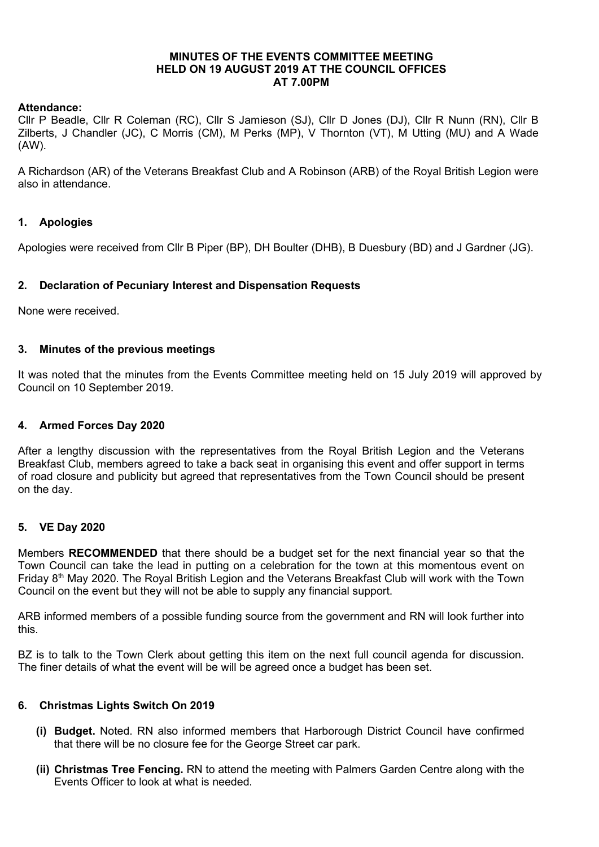## MINUTES OF THE EVENTS COMMITTEE MEETING HELD ON 19 AUGUST 2019 AT THE COUNCIL OFFICES AT 7.00PM

## Attendance:

Cllr P Beadle, Cllr R Coleman (RC), Cllr S Jamieson (SJ), Cllr D Jones (DJ), Cllr R Nunn (RN), Cllr B Zilberts, J Chandler (JC), C Morris (CM), M Perks (MP), V Thornton (VT), M Utting (MU) and A Wade (AW).

A Richardson (AR) of the Veterans Breakfast Club and A Robinson (ARB) of the Royal British Legion were also in attendance.

# 1. Apologies

Apologies were received from Cllr B Piper (BP), DH Boulter (DHB), B Duesbury (BD) and J Gardner (JG).

### 2. Declaration of Pecuniary Interest and Dispensation Requests

None were received.

#### 3. Minutes of the previous meetings

It was noted that the minutes from the Events Committee meeting held on 15 July 2019 will approved by Council on 10 September 2019.

#### 4. Armed Forces Day 2020

After a lengthy discussion with the representatives from the Royal British Legion and the Veterans Breakfast Club, members agreed to take a back seat in organising this event and offer support in terms of road closure and publicity but agreed that representatives from the Town Council should be present on the day.

#### 5. VE Day 2020

Members RECOMMENDED that there should be a budget set for the next financial year so that the Town Council can take the lead in putting on a celebration for the town at this momentous event on Friday 8th May 2020. The Royal British Legion and the Veterans Breakfast Club will work with the Town Council on the event but they will not be able to supply any financial support.

ARB informed members of a possible funding source from the government and RN will look further into this.

BZ is to talk to the Town Clerk about getting this item on the next full council agenda for discussion. The finer details of what the event will be will be agreed once a budget has been set.

#### 6. Christmas Lights Switch On 2019

- (i) Budget. Noted. RN also informed members that Harborough District Council have confirmed that there will be no closure fee for the George Street car park.
- (ii) Christmas Tree Fencing. RN to attend the meeting with Palmers Garden Centre along with the Events Officer to look at what is needed.